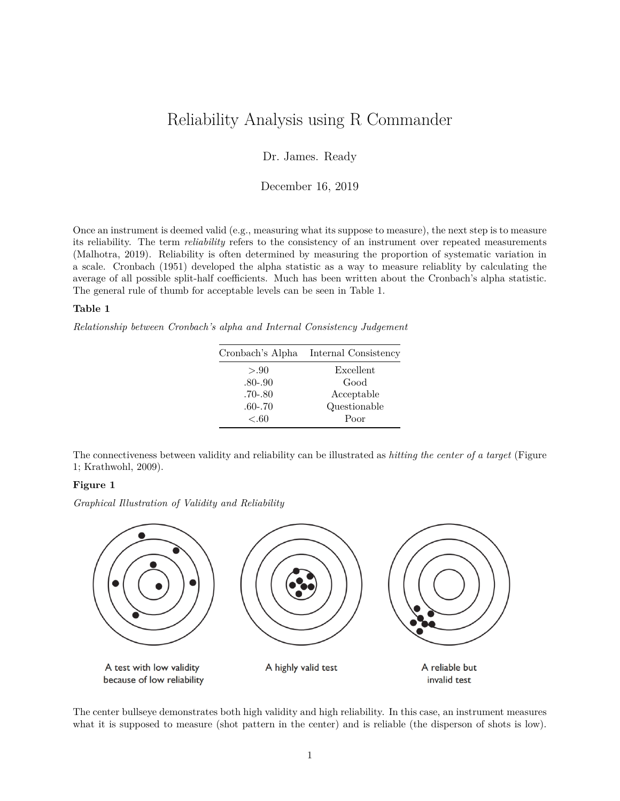# Reliability Analysis using R Commander

Dr. James. Ready

December 16, 2019

Once an instrument is deemed valid (e.g., measuring what its suppose to measure), the next step is to measure its reliability. The term *reliability* refers to the consistency of an instrument over repeated measurements (Malhotra, 2019). Reliability is often determined by measuring the proportion of systematic variation in a scale. Cronbach (1951) developed the alpha statistic as a way to measure reliablity by calculating the average of all possible split-half coefficients. Much has been written about the Cronbach's alpha statistic. The general rule of thumb for acceptable levels can be seen in Table 1.

## **Table 1**

*Relationship between Cronbach's alpha and Internal Consistency Judgement*

|             | Cronbach's Alpha Internal Consistency |
|-------------|---------------------------------------|
| > 0.90      | Excellent                             |
| $.80 - .90$ | Good                                  |
| $.70 - .80$ | Acceptable                            |
| $.60 - .70$ | Questionable                          |
| < .60       | Poor                                  |

The connectiveness between validity and reliability can be illustrated as *hitting the center of a target* (Figure 1; Krathwohl, 2009).

### **Figure 1**

*Graphical Illustration of Validity and Reliability*



The center bullseye demonstrates both high validity and high reliability. In this case, an instrument measures what it is supposed to measure (shot pattern in the center) and is reliable (the disperson of shots is low).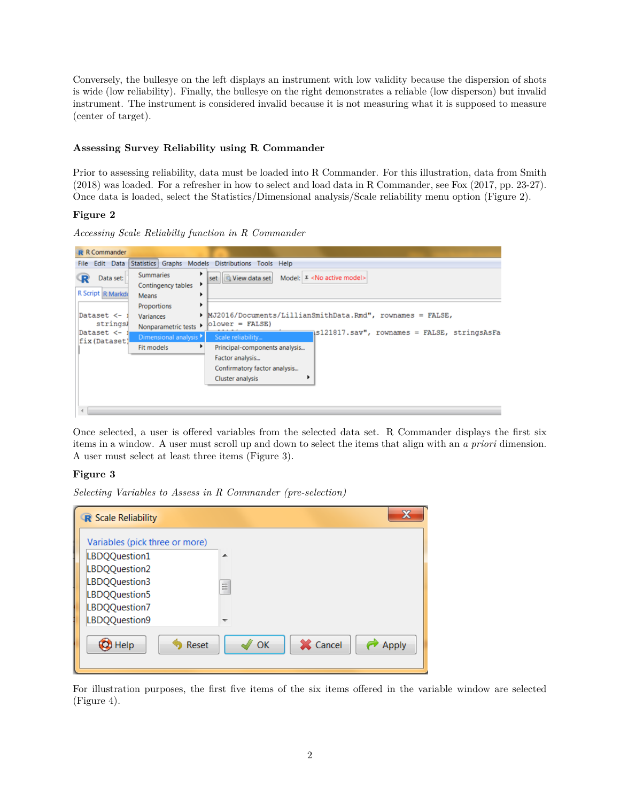Conversely, the bullesye on the left displays an instrument with low validity because the dispersion of shots is wide (low reliability). Finally, the bullesye on the right demonstrates a reliable (low disperson) but invalid instrument. The instrument is considered invalid because it is not measuring what it is supposed to measure (center of target).

## **Assessing Survey Reliability using R Commander**

Prior to assessing reliability, data must be loaded into R Commander. For this illustration, data from Smith (2018) was loaded. For a refresher in how to select and load data in R Commander, see Fox (2017, pp. 23-27). Once data is loaded, select the Statistics/Dimensional analysis/Scale reliability menu option (Figure 2).

## **Figure 2**

*Accessing Scale Reliabilty function in R Commander*



Once selected, a user is offered variables from the selected data set. R Commander displays the first six items in a window. A user must scroll up and down to select the items that align with an *a priori* dimension. A user must select at least three items (Figure 3).

## **Figure 3**

*Selecting Variables to Assess in R Commander (pre-selection)*

| R Scale Reliability            |                         |
|--------------------------------|-------------------------|
| Variables (pick three or more) |                         |
| LBDQQuestion1                  | ▴                       |
| LBDQQuestion2                  |                         |
| LBDQQuestion3                  | Ξ                       |
| LBDQQuestion5                  |                         |
| LBDQQuestion7                  |                         |
| LBDQQuestion9                  | ↽                       |
| Help<br>Reset                  | X Cancel<br>OK<br>Apply |

For illustration purposes, the first five items of the six items offered in the variable window are selected (Figure 4).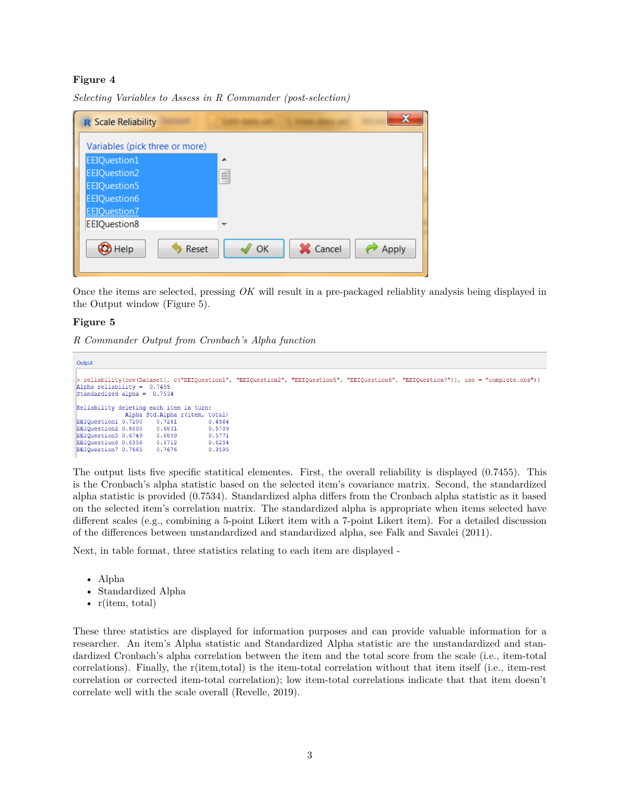## **Figure 4**

*Selecting Variables to Assess in R Commander (post-selection)*

| R Scale Reliability            |                                |
|--------------------------------|--------------------------------|
| Variables (pick three or more) |                                |
| EEIQuestion1                   | ▲                              |
| EEIQuestion2                   | E                              |
| EEIQuestion5                   |                                |
| EEIQuestion6                   |                                |
| <b>EEIQuestion7</b>            |                                |
| EEIQuestion8                   |                                |
| <b>O</b> Help<br>Reset         | X Cancel<br>OK<br><b>Apply</b> |

Once the items are selected, pressing *OK* will result in a pre-packaged reliablity analysis being displayed in the Output window (Figure 5).

#### **Figure 5**

*R Commander Output from Cronbach's Alpha function*

```
Output
 reliability (cov (Dataset [, c("EEIQuestion1", "EEIQuestion2", "EEIQuestion5", "EEIQuestion6", "EEIQuestion7")], use = "complete.obs"))
Alpha reliability = 0.7455
standardized alpha = 0.7534Reliability deleting each item in turn:
              Alpha Std.Alpha r(item, total)
EEIQuestion1 0.7200
                        0.72610.4564
EEIQuestion2 0.6800
                       0.6831
                                       0.5709
EEIQuestion5 0.6749
                       0.68990.5771EEIQuestion6 0.6556
                       0.6712
                                       0.6254EEIQuestion7 0.7665
                       0.7676
                                       0.3595
```
The output lists five specific statitical elementes. First, the overall reliability is displayed (0.7455). This is the Cronbach's alpha statistic based on the selected item's covariance matrix. Second, the standardized alpha statistic is provided (0.7534). Standardized alpha differs from the Cronbach alpha statistic as it based on the selected item's correlation matrix. The standardized alpha is appropriate when items selected have different scales (e.g., combining a 5-point Likert item with a 7-point Likert item). For a detailed discussion of the differences between unstandardized and standardized alpha, see [Falk and Savalei \(2011\).](https://libraryresources.columbiasouthern.edu/login?url=http://search.ebscohost.com/login.aspx?direct=true&db=bsu&AN=64854475&site=eds-live&scope=site)

Next, in table format, three statistics relating to each item are displayed -

- Alpha
- Standardized Alpha
- r(item, total)

These three statistics are displayed for information purposes and can provide valuable information for a researcher. An item's Alpha statistic and Standardized Alpha statistic are the unstandardized and standardized Cronbach's alpha correlation between the item and the total score from the scale (i.e., item-total correlations). Finally, the r(item,total) is the item-total correlation without that item itself (i.e., item-rest correlation or corrected item-total correlation); low item-total correlations indicate that that item doesn't correlate well with the scale overall (Revelle, 2019).